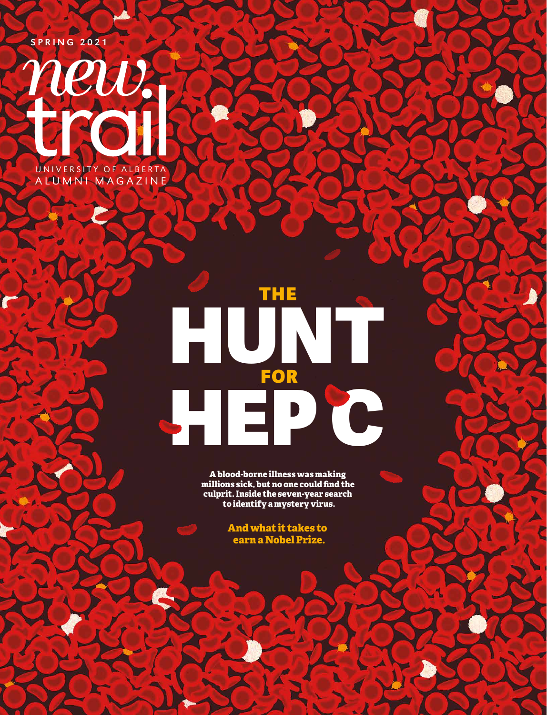

# THE FOR HEP C HUNT

**A blood-borne illness was making millions sick, but no one could find the culprit. Inside the seven-year search to identify a mystery virus.**

> **And what it takes to earn a Nobel Prize.**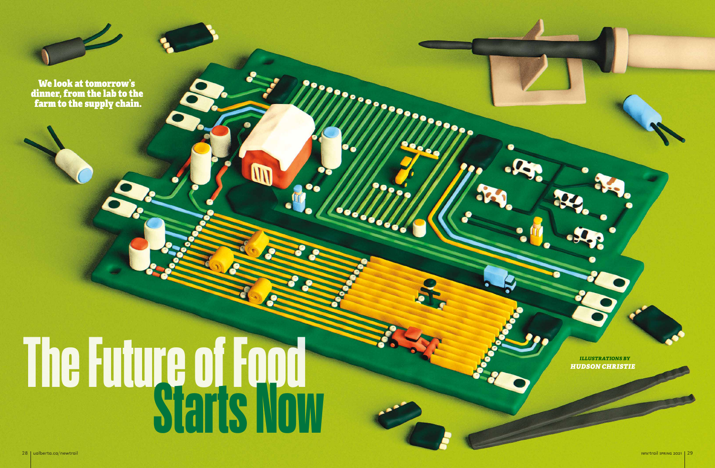# **The Future of Food Starts Now**



We look at tomorrow's dinner, from the lab to the farm to the supply chain.

> *HUDSON CHRISTIE illustrations by*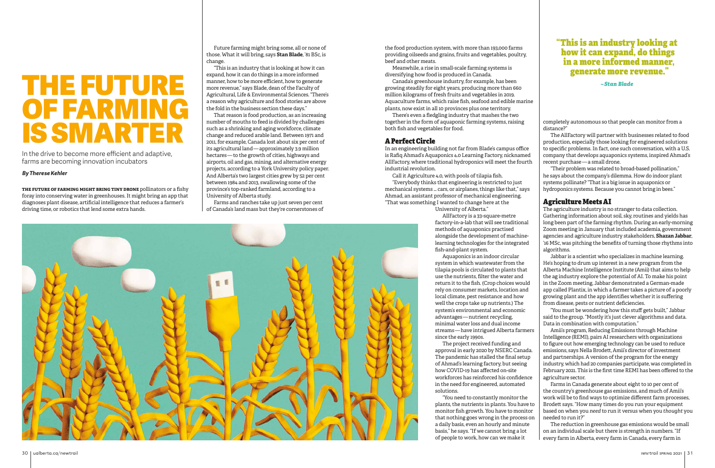completely autonomous so that people can monitor from a distance?"

The AllFactory will partner with businesses related to food production, especially those looking for engineered solutions to specific problems. In fact, one such conversation, with a U.S. company that develops aquaponics systems, inspired Ahmad's recent purchase — a small drone.

"Their problem was related to broad-based pollination," he says about the company's dilemma. How do indoor plant systems pollinate? "That is a big issue in aquaponics or hydroponics systems. Because you cannot bring in bees."

### Agriculture Meets AI

The agriculture industry is no stranger to data collection. Gathering information about soil, sky, routines and yields has long been part of the farming rhythm. During an early-morning Zoom meeting in January that included academia, government agencies and agriculture industry stakeholders, **Shazan Jabbar**, '16 MSc, was pitching the benefits of turning those rhythms into algorithms.

Jabbar is a scientist who specializes in machine learning. He's hoping to drum up interest in a new program from the Alberta Machine Intelligence Institute (Amii) that aims to help the ag industry explore the potential of AI. To make his point in the Zoom meeting, Jabbar demonstrated a German-made app called Plantix, in which a farmer takes a picture of a poorly growing plant and the app identifies whether it is suffering from disease, pests or nutrient deficiencies.

"You must be wondering how this stuff gets built," Jabbar said to the group. "Mostly it's just clever algorithms and data. Data in combination with computation."

Amii's program, Reducing Emissions through Machine Intelligence (REMI), pairs AI researchers with organizations to figure out how emerging technology can be used to reduce emissions, says Nella Brodett, Amii's director of investment and partnerships. A version of the program for the energy industry, which had 20 companies participate, was completed in February 2021. This is the first time REMI has been offered to the agriculture sector.

Farms in Canada generate about eight to 10 per cent of the country's greenhouse gas emissions, and much of Amii's work will be to find ways to optimize different farm processes, Brodett says. "How many times do you run your equipment based on when you *need* to run it versus when you *thought* you needed to run it?"

The reduction in greenhouse gas emissions would be small on an individual scale but there is strength in numbers. "If every farm in Alberta, every farm in Canada, every farm in

## "This is an industry looking at how it can expand, do things in a more informed manner, generate more revenue."

*– Stan Blade*

**the future of farming might bring tiny drone** pollinators or a fishy foray into conserving water in greenhouses. It might bring an app that diagnoses plant disease, artificial intelligence that reduces a farmer's driving time, or robotics that lend some extra hands.

the food production system, with more than 193,000 farms providing oilseeds and grains, fruits and vegetables, poultry, beef and other meats.

Meanwhile, a rise in small-scale farming systems is diversifying how food is produced in Canada.

Canada's greenhouse industry, for example, has been growing steadily for eight years, producing more than 660 million kilograms of fresh fruits and vegetables in 2019. Aquaculture farms, which raise fish, seafood and edible marine plants, now exist in all 10 provinces plus one territory.

There's even a fledgling industry that mashes the two together in the form of aquaponic farming systems, raising both fish and vegetables for food.

### A Perfect Circle

In an engineering building not far from Blade's campus office is Rafiq Ahmad's Aquaponics 4.0 Learning Factory, nicknamed AllFactory, where traditional hydroponics will meet the fourth industrial revolution.

Call it Agriculture 4.0, with pools of tilapia fish.

"Everybody thinks that engineering is restricted to just mechanical systems … cars, or airplanes, things like that," says Ahmad, an assistant professor of mechanical engineering. "That was something I wanted to change here at the

University of Alberta."

AllFactory is a 33-square-metre factory-in-a-lab that will see traditional methods of aquaponics practised alongside the development of machinelearning technologies for the integrated fish-and-plant system.

Aquaponics is an indoor circular system in which wastewater from the tilapia pools is circulated to plants that use the nutrients, filter the water and return it to the fish. (Crop choices would rely on consumer markets, location and local climate, pest resistance and how well the crops take up nutrients.) The system's environmental and economic advantages — nutrient recycling, minimal water loss and dual income streams — have intrigued Alberta farmers since the early 1990s.

The project received funding and approval in early 2020 by NSERC Canada. The pandemic has stalled the final setup of Ahmad's learning factory, but seeing how COVID-19 has affected on-site workforces has reinforced his confidence in the need for engineered, automated solutions.

"You need to constantly monitor the plants, the nutrients in plants. You have to monitor fish growth. You have to monitor that nothing goes wrong in the process on a daily basis, even an hourly and minute basis," he says. "If we cannot bring a lot of people to work, how can we make it

# THE FUTURE OF FARMIN IS SMARTER

In the drive to become more efficient and adaptive, farms are becoming innovation incubators

Future farming might bring some, all or none of those. What it will bring, says **Stan Blade**, '81 BSc, is change.

"This is an industry that is looking at how it can expand, how it can do things in a more informed manner, how to be more efficient, how to generate more revenue," says Blade, dean of the Faculty of Agricultural, Life & Environmental Sciences. "There's a reason why agriculture and food stories are above the fold in the business section these days."

That reason is food production, as an increasing number of mouths to feed is divided by challenges such as a shrinking and aging workforce, climate change and reduced arable land. Between 1971 and 2011, for example, Canada lost about six per cent of its agricultural land — approximately 3.9 million hectares — to the growth of cities, highways and airports, oil and gas, mining, and alternative energy projects, according to a York University policy paper. And Alberta's two largest cities grew by 52 per cent between 1984 and 2013, swallowing some of the province's top-ranked farmland, according to a University of Alberta study.

Farms and ranches take up just seven per cent of Canada's land mass but they're cornerstones of



### *By Therese Kehler*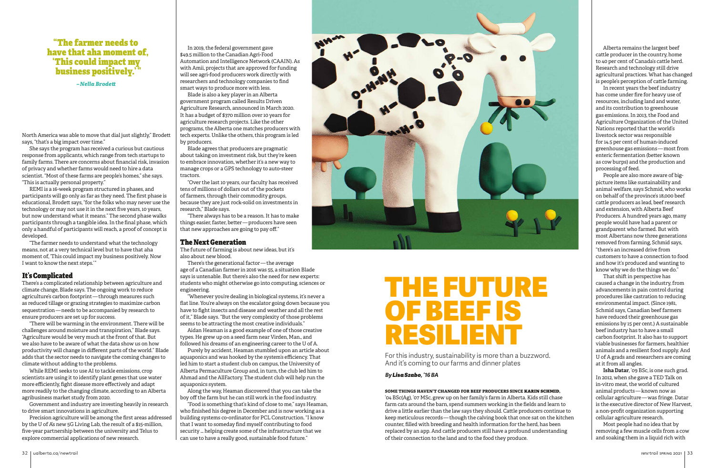North America was able to move that dial just slightly," Brodett says, "that's a big impact over time."

She says the program has received a curious but cautious response from applicants, which range from tech startups to family farms. There are concerns about financial risk, invasion of privacy and whether farms would need to hire a data scientist. "Most of these farms are people's homes," she says. "This is actually personal property."

REMI is a 16-week program structured in phases, and participants will go only as far as they need. The first phase is educational, Brodett says, "for the folks who may never use the technology or may not use it in the next five years, 10 years, but now understand what it means." The second phase walks participants through a tangible idea. In the final phase, which only a handful of participants will reach, a proof of concept is developed.

"The farmer needs to understand what the technology means, not at a very technical level but to have that aha moment of, 'This could impact my business positively. Now I want to know the next steps.' "

### It's Complicated

There's a complicated relationship between agriculture and climate change, Blade says. The ongoing work to reduce agriculture's carbon footprint — through measures such as reduced tillage or grazing strategies to maximize carbon sequestration — needs to be accompanied by research to ensure producers are set up for success.

"There will be warming in the environment. There will be challenges around moisture and transpiration," Blade says. "Agriculture would be very much at the front of that. But we also have to be aware of what the data show us on how productivity will change in different parts of the world." Blade adds that the sector needs to navigate the coming changes to climate without adding to the problems.

While REMI seeks to use AI to tackle emissions, crop scientists are using it to identify plant genes that use water more efficiently, fight disease more effectively and adapt more readily to the changing climate, according to an Alberta agribusiness market study from 2020.

Government and industry are investing heavily in research to drive smart innovations in agriculture.

Precision agriculture will be among the first areas addressed by the U of A's new 5G Living Lab, the result of a \$15-million, five-year partnership between the university and Telus to explore commercial applications of new research.

In 2019, the federal government gave \$49.5 million to the Canadian Agri-Food Automation and Intelligence Network (CAAIN). As with Amii, projects that are approved for funding will see agri-food producers work directly with researchers and technology companies to find smart ways to produce more with less.

Blade is also a key player in an Alberta government program called Results Driven Agriculture Research, announced in March 2020. It has a budget of \$370 million over 10 years for agriculture research projects. Like the other programs, the Alberta one matches producers with tech experts. Unlike the others, this program is led by producers.

Blade agrees that producers are pragmatic about taking on investment risk, but they're keen to embrace innovation, whether it's a new way to manage crops or a GPS technology to auto-steer tractors.

"Over the last 10 years, our faculty has received tens of millions of dollars out of the pockets of farmers, through their commodity groups, because they are just rock-solid on investments in research," Blade says.

"There always has to be a reason. It has to make things easier, faster, better — producers have seen that new approaches are going to pay off."

### The Next Generation

The future of farming is about new ideas, but it's also about new blood.

There's the generational factor — the average age of a Canadian farmer in 2016 was 55, a situation Blade says is untenable. But there's also the need for new experts: students who might otherwise go into computing, sciences or engineering.

"Whenever you're dealing in biological systems, it's never a flat line. You're always on the escalator going down because you have to fight insects and disease and weather and all the rest of it," Blade says. "But the very complexity of those problems seems to be attracting the most creative individuals."

Aidan Heaman is a good example of one of those creative types. He grew up on a seed farm near Virden, Man., and followed his dreams of an engineering career to the U of A.

Purely by accident, Heaman stumbled upon an article about aquaponics and was hooked by the system's efficiency. That led him to start a student club on campus, the University of Alberta Permaculture Group and, in turn, the club led him to Ahmad and the AllFactory. The student club will help run the aquaponics system.

Along the way, Heaman discovered that you can take the boy off the farm but he can still work in the food industry.

"Food is something that's kind of close to me," says Heaman, who finished his degree in December and is now working as a building systems co-ordinator for PCL Construction. "I know that I want to someday find myself contributing to food security … helping create some of the infrastructure that we can use to have a really good, sustainable food future."



### **some things haven't changed for beef producers since karin schmid,**

'04 BSc(Ag), '07 MSc, grew up on her family's farm in Alberta. Kids still chase farm cats around the barn, spend summers working in the fields and learn to drive a little earlier than the law says they should. Cattle producers continue to keep meticulous records — though the calving book that once sat on the kitchen counter, filled with breeding and health information for the herd, has been replaced by an app. And cattle producers still have a profound understanding of their connection to the land and to the food they produce.

Alberta remains the largest beef cattle producer in the country, home to 40 per cent of Canada's cattle herd. Research and technology still drive agricultural practices. What has changed is people's perception of cattle farming.

In recent years the beef industry has come under fire for heavy use of resources, including land and water, and its contribution to greenhouse gas emissions. In 2013, the Food and Agriculture Organization of the United Nations reported that the world's livestock sector was responsible for 14.5 per cent of human-induced greenhouse gas emissions — most from enteric fermentation (better known as cow burps) and the production and processing of feed.

People are also more aware of bigpicture items like sustainability and animal welfare, says Schmid, who works on behalf of the province's 18,000 beef cattle producers as lead, beef research and extension, with Alberta Beef Producers. A hundred years ago, many people would have had a parent or grandparent who farmed. But with most Albertans now three generations removed from farming, Schmid says, "there's an increased drive from customers to have a connection to food and how it's produced and wanting to know why we do the things we do."

That shift in perspective has caused a change in the industry, from advancements in pain control during procedures like castration to reducing environmental impact. (Since 1981, Schmid says, Canadian beef farmers have reduced their greenhouse gas emissions by 15 per cent.) A sustainable beef industry has to have a small carbon footprint. It also has to support viable businesses for farmers, healthier animals and a resilient food supply. And U of A grads and researchers are coming at it from all angles.

**Isha Datar**, '09 BSc, is one such grad. In 2012, when she gave a TED Talk on in-vitro meat, the world of cultured animal products — known now as cellular agriculture — was fringe. Datar is the executive director of New Harvest, a non-profit organization supporting cellular agriculture research.

Most people had no idea that by removing a few muscle cells from a cow and soaking them in a liquid rich with

# THE FUTURE OF BEEF IS RESILIENT

For this industry, sustainability is more than a buzzword. And it's coming to our farms and dinner plates

## "The farmer needs to have that aha moment of, 'This could impact my business positively.' "

*– Nella Brodett*

### *By Lisa Szabo, '16 BA*

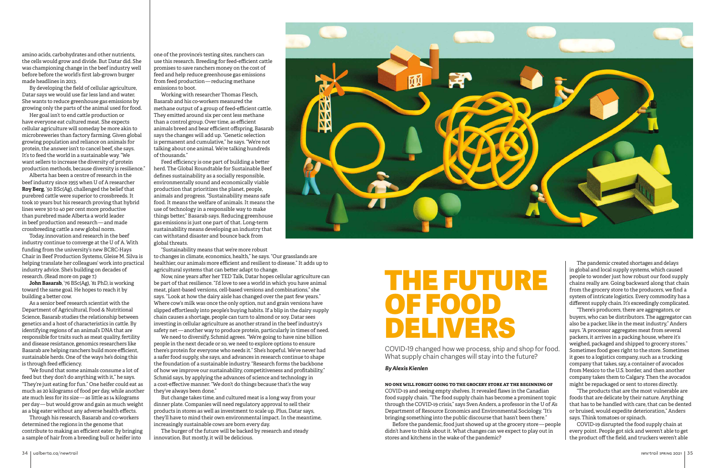one of the province's testing sites, ranchers can use this research. Breeding for feed-efficient cattle promises to save ranchers money on the cost of feed and help reduce greenhouse gas emissions from feed production — reducing methane emissions to boot.

Working with researcher Thomas Flesch, Basarab and his co-workers measured the methane output of a group of feed-efficient cattle. They emitted around six per cent less methane than a control group. Over time, as efficient animals breed and bear efficient offspring, Basarab says the changes will add up. "Genetic selection is permanent and cumulative," he says. "We're not talking about one animal. We're talking hundreds of thousands."

Now, nine years after her TED Talk, Datar hopes cellular agriculture can be part of that resilience. "I'd love to see a world in which you have animal meat, plant-based versions, cell-based versions and combinations," she says. "Look at how the dairy aisle has changed over the past few years." Where cow's milk was once the only option, nut and grain versions have slipped effortlessly into people's buying habits. If a blip in the dairy supply chain causes a shortage, people can turn to almond or soy. Datar sees investing in cellular agriculture as another strand in the beef industry's safety net — another way to produce protein, particularly in times of need.

Feed efficiency is one part of building a better herd. The Global Roundtable for Sustainable Beef defines sustainability as a socially responsible, environmentally sound and economically viable production that prioritizes the planet, people, animals and progress. "Sustainability means safe food. It means the welfare of animals. It means the use of technology in a responsible way to make things better," Basarab says. Reducing greenhouse gas emissions is just one part of that. Long-term sustainability means developing an industry that can withstand disaster and bounce back from global threats.

"Sustainability means that we're more robust

to changes in climate, economics, health," he says. "Our grasslands are healthier, our animals more efficient and resilient to disease." It adds up to agricultural systems that can better adapt to change.

We need to diversify, Schmid agrees. "We're going to have nine billion people in the next decade or so, we need to explore options to ensure there's protein for everyone who needs it." She's hopeful. We've never had a safer food supply, she says, and advances in research continue to shape the foundation of a sustainable industry. "Research forms the backbone of how we improve our sustainability, competitiveness and profitability," Schmid says, by applying the advances of science and technology in a cost-effective manner. "We don't do things because that's the way they've always been done."

But change takes time, and cultured meat is a long way from your dinner plate. Companies will need regulatory approval to sell their products in stores as well as investment to scale up. Plus, Datar says, they'll have to mind their own environmental impact. In the meantime, increasingly sustainable cows are born every day.

The burger of the future will be backed by research and steady innovation. But mostly, it will be delicious.



amino acids, carbohydrates and other nutrients, the cells would grow and divide. But Datar did. She was championing change in the beef industry well before before the world's first lab-grown burger made headlines in 2013.

By developing the field of cellular agriculture, Datar says we would use far less land and water. She wants to reduce greenhouse gas emissions by growing only the parts of the animal used for food.

Her goal isn't to end cattle production or have everyone eat cultured meat. She expects cellular agriculture will someday be more akin to microbreweries than factory farming. Given global growing population and reliance on animals for protein, the answer isn't to cancel beef, she says. It's to feed the world in a sustainable way. "We want sellers to increase the diversity of protein production methods, because diversity is resilience."

Alberta has been a centre of research in the beef industry since 1955 when U of A researcher **Roy Berg**, '50 BSc(Ag), challenged the belief that purebred cattle were superior to crossbreeds. It took 10 years but his research proving that hybrid lines were 30 to 40 per cent more productive than purebred made Alberta a world leader in beef production and research — and made crossbreeding cattle a new global norm.

Today, innovation and research in the beef industry continue to converge at the U of A. With funding from the university's new BCRC-Hays Chair in Beef Production Systems, Gleise M. Silva is helping translate her colleagues' work into practical industry advice. She's building on decades of research. (Read more on page 7.)

**John Basarab**, '76 BSc(Ag), '81 PhD, is working toward the same goal. He hopes to reach it by building a better cow.

As a senior beef research scientist with the Department of Agricultural, Food & Nutritional Science, Basarab studies the relationship between genetics and a host of characteristics in cattle. By identifying regions of an animal's DNA that are responsible for traits such as meat quality, fertility and disease resistance, genomics researchers like Basarab are helping ranchers build more efficient, sustainable herds. One of the ways he's doing this is through feed efficiency.

"We found that some animals consume a lot of feed but they don't do anything with it," he says. "They're just eating for fun." One heifer could eat as much as 20 kilograms of food per day, while another ate much less for its size — as little as 14 kilograms per day — but would grow and gain as much weight as a big eater without any adverse health effects.

Through his research, Basarab and co-workers determined the regions in the genome that contribute to making an efficient eater. By bringing a sample of hair from a breeding bull or heifer into

**no one will forget going to the grocery store at the beginning of**  COVID-19 and seeing empty shelves. It revealed flaws in the Canadian food supply chain. "The food supply chain has become a prominent topic through the COVID-19 crisis," says Sven Anders, a professor in the U of A's Department of Resource Economics and Environmental Sociology. "It's bringing something into the public discourse that hasn't been there."

Before the pandemic, food just showed up at the grocery store — people didn't have to think about it. What changes can we expect to play out in stores and kitchens in the wake of the pandemic?

The pandemic created shortages and delays in global and local supply systems, which caused people to wonder just how robust our food supply chains really are. Going backward along that chain from the grocery store to the producers, we find a system of intricate logistics. Every commodity has a different supply chain. It's exceedingly complicated.

"There's producers, there are aggregators, or buyers, who can be distributors. The aggregator can also be a packer, like in the meat industry," Anders says. "A processor aggregates meat from several packers, it arrives in a packing house, where it's weighed, packaged and shipped to grocery stores." Sometimes food goes right to the store. Sometimes it goes to a logistics company, such as a trucking company that takes, say, a container of avocados from Mexico to the U.S. border, and then another company takes them to Calgary. Then the avocados might be repackaged or sent to stores directly.

"The products that are the most vulnerable are foods that are delicate by their nature. Anything that has to be handled with care, that can be dented or bruised, would expedite deterioration," Anders says. Think tomatoes or spinach.

COVID-19 disrupted the food supply chain at every point. People got sick and weren't able to get the product off the field, and truckers weren't able

# THE FUTURE OF FOOD DELIVERS

COVID-19 changed how we process, ship and shop for food. What supply chain changes will stay into the future?

### *By Alexis Kienlen*